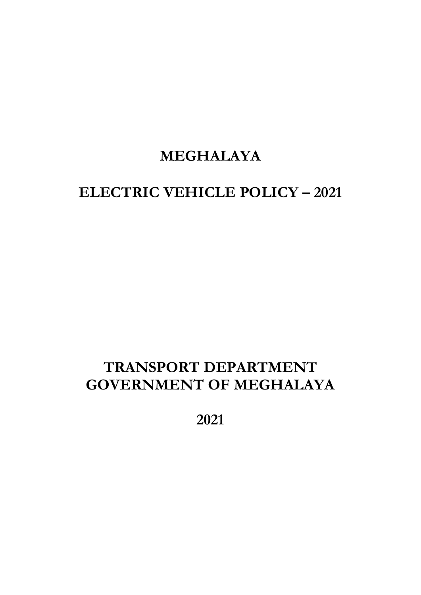# **MEGHALAYA**

# **ELECTRIC VEHICLE POLICY – 2021**

# **TRANSPORT DEPARTMENT GOVERNMENT OF MEGHALAYA**

**2021**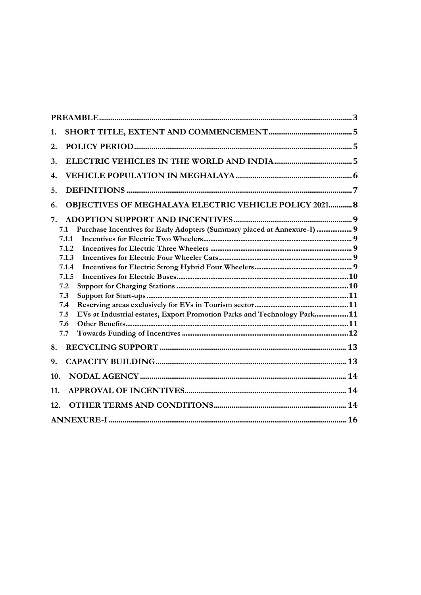| 1.                                                                              |
|---------------------------------------------------------------------------------|
| 2.                                                                              |
| 3.                                                                              |
| 4.                                                                              |
| 5.                                                                              |
| <b>OBJECTIVES OF MEGHALAYA ELECTRIC VEHICLE POLICY 2021 8</b><br>6.             |
| 7.                                                                              |
| Purchase Incentives for Early Adopters (Summary placed at Annexure-I)  9<br>7.1 |
| 7.1.1                                                                           |
| 7.1.2                                                                           |
| 7.1.3                                                                           |
| 7.1.4                                                                           |
| 7.1.5                                                                           |
| 7.2                                                                             |
| 7.3                                                                             |
| 7.4                                                                             |
| EVs at Industrial estates, Export Promotion Parks and Technology Park11<br>7.5  |
| 7.6                                                                             |
| 7.7                                                                             |
| 8.                                                                              |
| 9.                                                                              |
| 10.                                                                             |
| 11.                                                                             |
| 12.                                                                             |
|                                                                                 |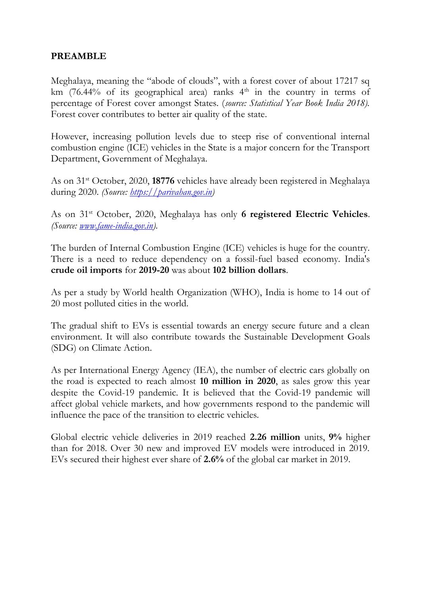## **PREAMBLE**

Meghalaya, meaning the "abode of clouds", with a forest cover of about 17217 sq km (76.44% of its geographical area) ranks  $4<sup>th</sup>$  in the country in terms of percentage of Forest cover amongst States. (*source: Statistical Year Book India 2018).*  Forest cover contributes to better air quality of the state.

However, increasing pollution levels due to steep rise of conventional internal combustion engine (ICE) vehicles in the State is a major concern for the Transport Department, Government of Meghalaya.

As on 31st October, 2020, **18776** vehicles have already been registered in Meghalaya during 2020. *(Source: [https://parivahan.gov.in\)](https://parivahan.gov.in/)*

As on 31st October, 2020, Meghalaya has only **6 registered Electric Vehicles**. *(Source: [www.fame-india.gov.in\)](http://www.fame-india.gov.in/).*

The burden of Internal Combustion Engine (ICE) vehicles is huge for the country. There is a need to reduce dependency on a fossil-fuel based economy. India's **crude oil imports** for **2019-20** was about **102 billion dollars**.

As per a study by World health Organization (WHO), India is home to 14 out of 20 most polluted cities in the world.

The gradual shift to EVs is essential towards an energy secure future and a clean environment. It will also contribute towards the Sustainable Development Goals (SDG) on Climate Action.

As per International Energy Agency (IEA), the number of electric cars globally on the road is expected to reach almost **10 million in 2020**, as sales grow this year despite the Covid-19 pandemic. It is believed that the Covid-19 pandemic will affect global vehicle markets, and how governments respond to the pandemic will influence the pace of the transition to electric vehicles.

Global electric vehicle deliveries in 2019 reached **2.26 million** units, **9%** higher than for 2018. Over 30 new and improved EV models were introduced in 2019. EVs secured their highest ever share of **2.6%** of the global car market in 2019.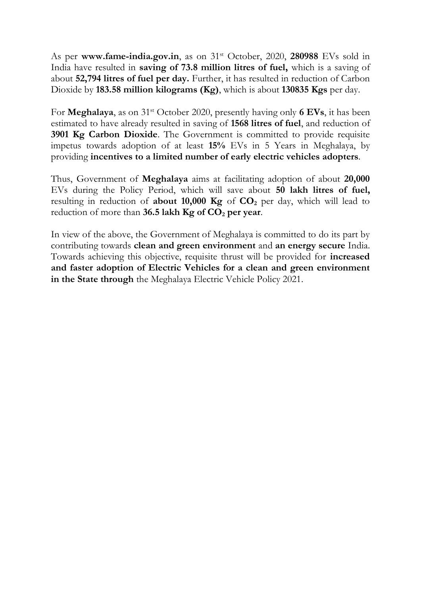As per www.fame-india.gov.in, as on 31<sup>st</sup> October, 2020, 280988 EVs sold in India have resulted in **saving of 73.8 million litres of fuel,** which is a saving of about **52,794 litres of fuel per day.** Further, it has resulted in reduction of Carbon Dioxide by **183.58 million kilograms (Kg)**, which is about **130835 Kgs** per day.

For **Meghalaya**, as on 31st October 2020, presently having only **6 EVs**, it has been estimated to have already resulted in saving of **1568 litres of fuel**, and reduction of **3901 Kg Carbon Dioxide**. The Government is committed to provide requisite impetus towards adoption of at least **15%** EVs in 5 Years in Meghalaya, by providing **incentives to a limited number of early electric vehicles adopters**.

Thus, Government of **Meghalaya** aims at facilitating adoption of about **20,000** EVs during the Policy Period, which will save about **50 lakh litres of fuel,**  resulting in reduction of **about 10,000 Kg** of **CO<sup>2</sup>** per day, which will lead to reduction of more than **36.5 lakh Kg of CO<sup>2</sup> per year**.

In view of the above, the Government of Meghalaya is committed to do its part by contributing towards **clean and green environment** and **an energy secure** India. Towards achieving this objective, requisite thrust will be provided for **increased and faster adoption of Electric Vehicles for a clean and green environment in the State through** the Meghalaya Electric Vehicle Policy 2021.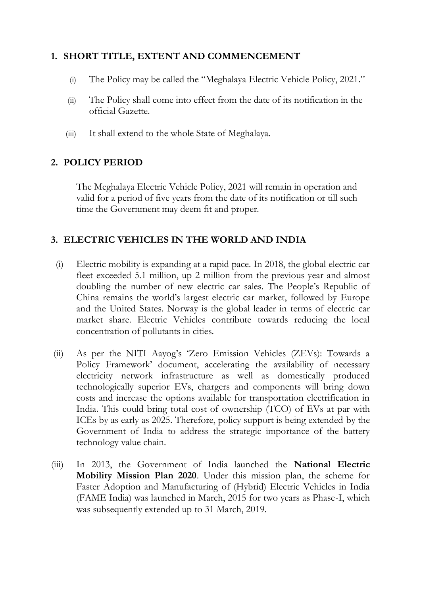# **1. SHORT TITLE, EXTENT AND COMMENCEMENT**

- (i) The Policy may be called the "Meghalaya Electric Vehicle Policy, 2021."
- (ii) The Policy shall come into effect from the date of its notification in the official Gazette.
- (iii) It shall extend to the whole State of Meghalaya.

# **2. POLICY PERIOD**

The Meghalaya Electric Vehicle Policy, 2021 will remain in operation and valid for a period of five years from the date of its notification or till such time the Government may deem fit and proper.

# **3. ELECTRIC VEHICLES IN THE WORLD AND INDIA**

- (i) Electric mobility is expanding at a rapid pace. In 2018, the global electric car fleet exceeded 5.1 million, up 2 million from the previous year and almost doubling the number of new electric car sales. The People's Republic of China remains the world's largest electric car market, followed by Europe and the United States. Norway is the global leader in terms of electric car market share. Electric Vehicles contribute towards reducing the local concentration of pollutants in cities.
- (ii) As per the NITI Aayog's 'Zero Emission Vehicles (ZEVs): Towards a Policy Framework' document, accelerating the availability of necessary electricity network infrastructure as well as domestically produced technologically superior EVs, chargers and components will bring down costs and increase the options available for transportation electrification in India. This could bring total cost of ownership (TCO) of EVs at par with ICEs by as early as 2025. Therefore, policy support is being extended by the Government of India to address the strategic importance of the battery technology value chain.
- (iii) In 2013, the Government of India launched the **National Electric Mobility Mission Plan 2020**. Under this mission plan, the scheme for Faster Adoption and Manufacturing of (Hybrid) Electric Vehicles in India (FAME India) was launched in March, 2015 for two years as Phase-I, which was subsequently extended up to 31 March, 2019.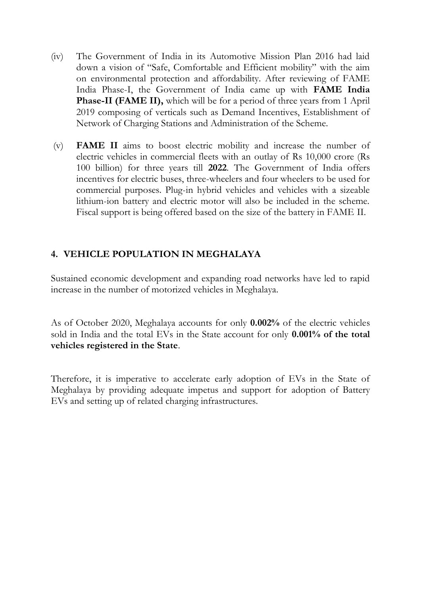- (iv) The Government of India in its Automotive Mission Plan 2016 had laid down a vision of "Safe, Comfortable and Efficient mobility" with the aim on environmental protection and affordability. After reviewing of FAME India Phase-I, the Government of India came up with **FAME India Phase-II (FAME II),** which will be for a period of three years from 1 April 2019 composing of verticals such as Demand Incentives, Establishment of Network of Charging Stations and Administration of the Scheme.
- (v) **FAME II** aims to boost electric mobility and increase the number of electric vehicles in commercial fleets with an outlay of Rs 10,000 crore (Rs 100 billion) for three years till **2022**. The Government of India offers incentives for electric buses, three-wheelers and four wheelers to be used for commercial purposes. Plug-in hybrid vehicles and vehicles with a sizeable lithium-ion battery and electric motor will also be included in the scheme. Fiscal support is being offered based on the size of the battery in FAME II.

# **4. VEHICLE POPULATION IN MEGHALAYA**

Sustained economic development and expanding road networks have led to rapid increase in the number of motorized vehicles in Meghalaya.

As of October 2020, Meghalaya accounts for only **0.002%** of the electric vehicles sold in India and the total EVs in the State account for only **0.001% of the total vehicles registered in the State**.

Therefore, it is imperative to accelerate early adoption of EVs in the State of Meghalaya by providing adequate impetus and support for adoption of Battery EVs and setting up of related charging infrastructures.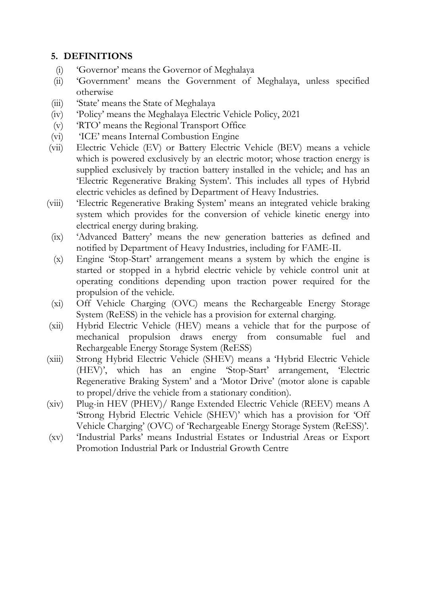# **5. DEFINITIONS**

- (i) 'Governor' means the Governor of Meghalaya
- (ii) 'Government' means the Government of Meghalaya, unless specified otherwise
- (iii) 'State' means the State of Meghalaya
- (iv) 'Policy' means the Meghalaya Electric Vehicle Policy, 2021
- (v) 'RTO' means the Regional Transport Office
- (vi) 'ICE' means Internal Combustion Engine
- (vii) Electric Vehicle (EV) or Battery Electric Vehicle (BEV) means a vehicle which is powered exclusively by an electric motor; whose traction energy is supplied exclusively by traction battery installed in the vehicle; and has an 'Electric Regenerative Braking System'. This includes all types of Hybrid electric vehicles as defined by Department of Heavy Industries.
- (viii) 'Electric Regenerative Braking System' means an integrated vehicle braking system which provides for the conversion of vehicle kinetic energy into electrical energy during braking.
- (ix) 'Advanced Battery' means the new generation batteries as defined and notified by Department of Heavy Industries, including for FAME-II.
- (x) Engine 'Stop-Start' arrangement means a system by which the engine is started or stopped in a hybrid electric vehicle by vehicle control unit at operating conditions depending upon traction power required for the propulsion of the vehicle.
- (xi) Off Vehicle Charging (OVC) means the Rechargeable Energy Storage System (ReESS) in the vehicle has a provision for external charging.
- (xii) Hybrid Electric Vehicle (HEV) means a vehicle that for the purpose of mechanical propulsion draws energy from consumable fuel and Rechargeable Energy Storage System (ReESS)
- (xiii) Strong Hybrid Electric Vehicle (SHEV) means a 'Hybrid Electric Vehicle (HEV)', which has an engine 'Stop-Start' arrangement, 'Electric Regenerative Braking System' and a 'Motor Drive' (motor alone is capable to propel/drive the vehicle from a stationary condition).
- (xiv) Plug-in HEV (PHEV)/ Range Extended Electric Vehicle (REEV) means A 'Strong Hybrid Electric Vehicle (SHEV)' which has a provision for 'Off Vehicle Charging' (OVC) of 'Rechargeable Energy Storage System (ReESS)'.
- (xv) 'Industrial Parks' means Industrial Estates or Industrial Areas or Export Promotion Industrial Park or Industrial Growth Centre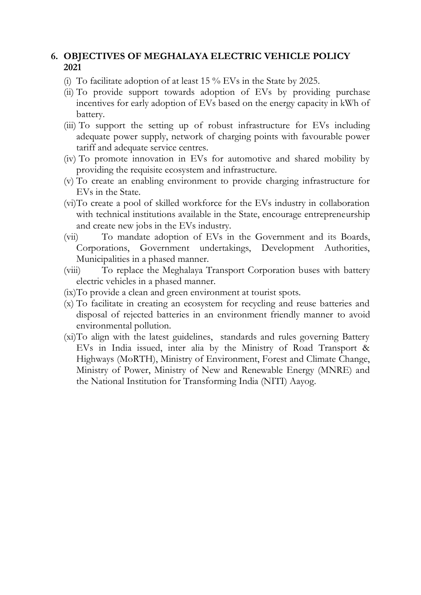### **6. OBJECTIVES OF MEGHALAYA ELECTRIC VEHICLE POLICY 2021**

- (i) To facilitate adoption of at least 15 % EVs in the State by 2025.
- (ii) To provide support towards adoption of EVs by providing purchase incentives for early adoption of EVs based on the energy capacity in kWh of battery.
- (iii) To support the setting up of robust infrastructure for EVs including adequate power supply, network of charging points with favourable power tariff and adequate service centres.
- (iv) To promote innovation in EVs for automotive and shared mobility by providing the requisite ecosystem and infrastructure.
- (v) To create an enabling environment to provide charging infrastructure for EVs in the State.
- (vi)To create a pool of skilled workforce for the EVs industry in collaboration with technical institutions available in the State, encourage entrepreneurship and create new jobs in the EVs industry.
- (vii) To mandate adoption of EVs in the Government and its Boards, Corporations, Government undertakings, Development Authorities, Municipalities in a phased manner.
- (viii) To replace the Meghalaya Transport Corporation buses with battery electric vehicles in a phased manner.
- (ix)To provide a clean and green environment at tourist spots.
- (x) To facilitate in creating an ecosystem for recycling and reuse batteries and disposal of rejected batteries in an environment friendly manner to avoid environmental pollution.
- (xi)To align with the latest guidelines, standards and rules governing Battery EVs in India issued, inter alia by the Ministry of Road Transport & Highways (MoRTH), Ministry of Environment, Forest and Climate Change, Ministry of Power, Ministry of New and Renewable Energy (MNRE) and the National Institution for Transforming India (NITI) Aayog.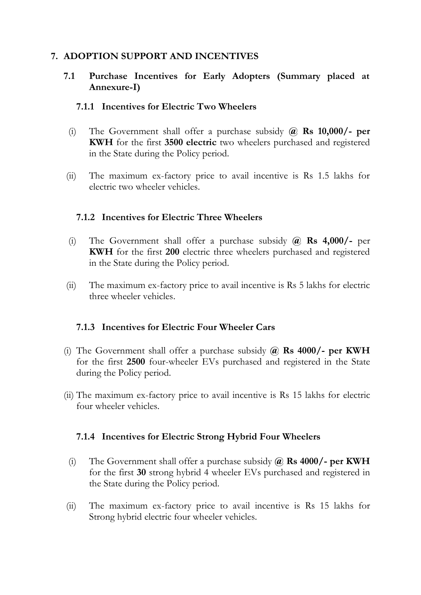### **7. ADOPTION SUPPORT AND INCENTIVES**

#### **7.1 Purchase Incentives for Early Adopters (Summary placed at Annexure-I)**

#### **7.1.1 Incentives for Electric Two Wheelers**

- (i) The Government shall offer a purchase subsidy **@ Rs 10,000/- per KWH** for the first **3500 electric** two wheelers purchased and registered in the State during the Policy period.
- (ii) The maximum ex-factory price to avail incentive is Rs 1.5 lakhs for electric two wheeler vehicles.

#### **7.1.2 Incentives for Electric Three Wheelers**

- (i) The Government shall offer a purchase subsidy **@ Rs 4,000/-** per **KWH** for the first **200** electric three wheelers purchased and registered in the State during the Policy period.
- (ii) The maximum ex-factory price to avail incentive is Rs 5 lakhs for electric three wheeler vehicles.

#### **7.1.3 Incentives for Electric Four Wheeler Cars**

- (i) The Government shall offer a purchase subsidy **@ Rs 4000/- per KWH** for the first **2500** four-wheeler EVs purchased and registered in the State during the Policy period.
- (ii) The maximum ex-factory price to avail incentive is Rs 15 lakhs for electric four wheeler vehicles.

### **7.1.4 Incentives for Electric Strong Hybrid Four Wheelers**

- (i) The Government shall offer a purchase subsidy **@ Rs 4000/- per KWH** for the first **30** strong hybrid 4 wheeler EVs purchased and registered in the State during the Policy period.
- (ii) The maximum ex-factory price to avail incentive is Rs 15 lakhs for Strong hybrid electric four wheeler vehicles.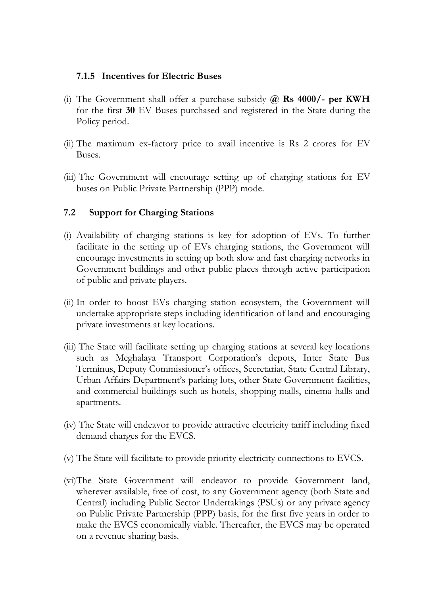#### **7.1.5 Incentives for Electric Buses**

- (i) The Government shall offer a purchase subsidy **@ Rs 4000/- per KWH**  for the first **30** EV Buses purchased and registered in the State during the Policy period.
- (ii) The maximum ex-factory price to avail incentive is Rs 2 crores for EV Buses.
- (iii) The Government will encourage setting up of charging stations for EV buses on Public Private Partnership (PPP) mode.

### **7.2 Support for Charging Stations**

- (i) Availability of charging stations is key for adoption of EVs. To further facilitate in the setting up of EVs charging stations, the Government will encourage investments in setting up both slow and fast charging networks in Government buildings and other public places through active participation of public and private players.
- (ii) In order to boost EVs charging station ecosystem, the Government will undertake appropriate steps including identification of land and encouraging private investments at key locations.
- (iii) The State will facilitate setting up charging stations at several key locations such as Meghalaya Transport Corporation's depots, Inter State Bus Terminus, Deputy Commissioner's offices, Secretariat, State Central Library, Urban Affairs Department's parking lots, other State Government facilities, and commercial buildings such as hotels, shopping malls, cinema halls and apartments.
- (iv) The State will endeavor to provide attractive electricity tariff including fixed demand charges for the EVCS.
- (v) The State will facilitate to provide priority electricity connections to EVCS.
- (vi)The State Government will endeavor to provide Government land, wherever available, free of cost, to any Government agency (both State and Central) including Public Sector Undertakings (PSUs) or any private agency on Public Private Partnership (PPP) basis, for the first five years in order to make the EVCS economically viable. Thereafter, the EVCS may be operated on a revenue sharing basis.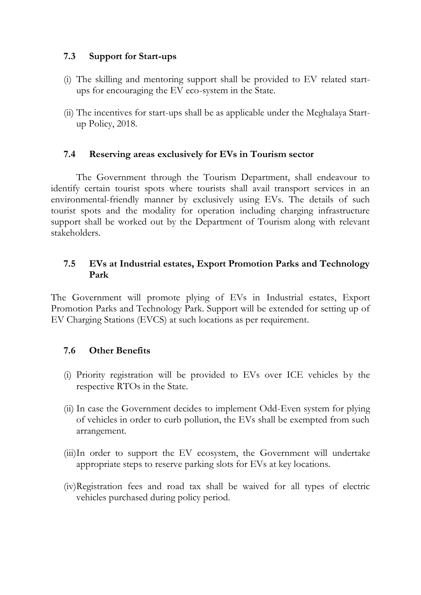## **7.3 Support for Start-ups**

- (i) The skilling and mentoring support shall be provided to EV related startups for encouraging the EV eco-system in the State.
- (ii) The incentives for start-ups shall be as applicable under the Meghalaya Startup Policy, 2018.

### **7.4 Reserving areas exclusively for EVs in Tourism sector**

The Government through the Tourism Department, shall endeavour to identify certain tourist spots where tourists shall avail transport services in an environmental-friendly manner by exclusively using EVs. The details of such tourist spots and the modality for operation including charging infrastructure support shall be worked out by the Department of Tourism along with relevant stakeholders.

#### **7.5 EVs at Industrial estates, Export Promotion Parks and Technology Park**

The Government will promote plying of EVs in Industrial estates, Export Promotion Parks and Technology Park. Support will be extended for setting up of EV Charging Stations (EVCS) at such locations as per requirement.

### **7.6 Other Benefits**

- (i) Priority registration will be provided to EVs over ICE vehicles by the respective RTOs in the State.
- (ii) In case the Government decides to implement Odd-Even system for plying of vehicles in order to curb pollution, the EVs shall be exempted from such arrangement.
- (iii)In order to support the EV ecosystem, the Government will undertake appropriate steps to reserve parking slots for EVs at key locations.
- (iv)Registration fees and road tax shall be waived for all types of electric vehicles purchased during policy period.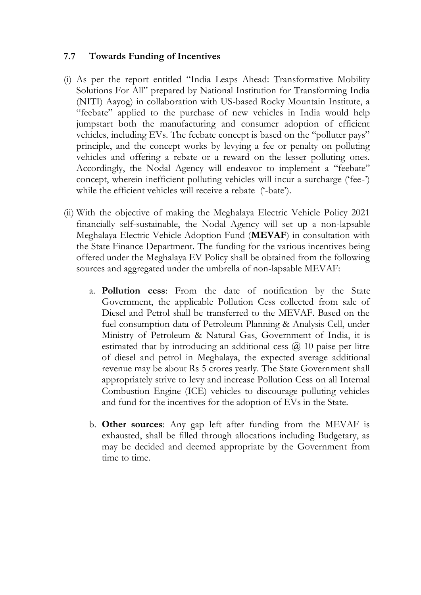#### **7.7 Towards Funding of Incentives**

- (i) As per the report entitled "India Leaps Ahead: Transformative Mobility Solutions For All" prepared by National Institution for Transforming India (NITI) Aayog) in collaboration with US-based Rocky Mountain Institute, a "feebate" applied to the purchase of new vehicles in India would help jumpstart both the manufacturing and consumer adoption of efficient vehicles, including EVs. The feebate concept is based on the "polluter pays" principle, and the concept works by levying a fee or penalty on polluting vehicles and offering a rebate or a reward on the lesser polluting ones. Accordingly, the Nodal Agency will endeavor to implement a "feebate" concept, wherein inefficient polluting vehicles will incur a surcharge ('fee-') while the efficient vehicles will receive a rebate ('-bate').
- (ii) With the objective of making the Meghalaya Electric Vehicle Policy 2021 financially self-sustainable, the Nodal Agency will set up a non-lapsable Meghalaya Electric Vehicle Adoption Fund (**MEVAF**) in consultation with the State Finance Department. The funding for the various incentives being offered under the Meghalaya EV Policy shall be obtained from the following sources and aggregated under the umbrella of non-lapsable MEVAF:
	- a. **Pollution cess**: From the date of notification by the State Government, the applicable Pollution Cess collected from sale of Diesel and Petrol shall be transferred to the MEVAF. Based on the fuel consumption data of Petroleum Planning & Analysis Cell, under Ministry of Petroleum & Natural Gas, Government of India, it is estimated that by introducing an additional cess  $\omega$  10 paise per litre of diesel and petrol in Meghalaya, the expected average additional revenue may be about Rs 5 crores yearly. The State Government shall appropriately strive to levy and increase Pollution Cess on all Internal Combustion Engine (ICE) vehicles to discourage polluting vehicles and fund for the incentives for the adoption of EVs in the State.
	- b. **Other sources**: Any gap left after funding from the MEVAF is exhausted, shall be filled through allocations including Budgetary, as may be decided and deemed appropriate by the Government from time to time.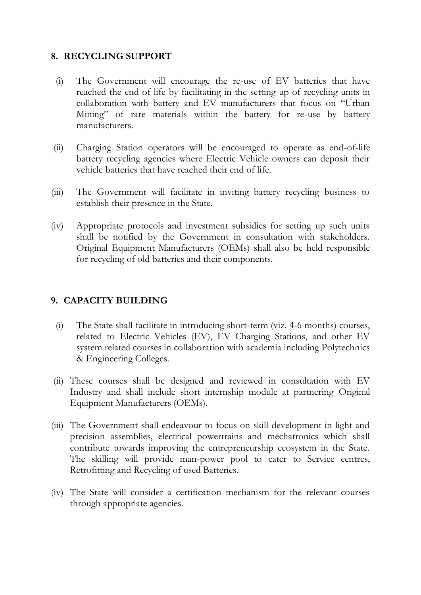## **8. RECYCLING SUPPORT**

- (i) The Government will encourage the re-use of EV batteries that have reached the end of life by facilitating in the setting up of recycling units in collaboration with battery and EV manufacturers that focus on "Urban Mining" of rare materials within the battery for re-use by battery manufacturers.
- (ii) Charging Station operators will be encouraged to operate as end-of-life battery recycling agencies where Electric Vehicle owners can deposit their vehicle batteries that have reached their end of life.
- (iii) The Government will facilitate in inviting battery recycling business to establish their presence in the State.
- (iv) Appropriate protocols and investment subsidies for setting up such units shall be notified by the Government in consultation with stakeholders. Original Equipment Manufacturers (OEMs) shall also be held responsible for recycling of old batteries and their components.

# **9. CAPACITY BUILDING**

- (i) The State shall facilitate in introducing short-term (viz. 4-6 months) courses, related to Electric Vehicles (EV), EV Charging Stations, and other EV system related courses in collaboration with academia including Polytechnics & Engineering Colleges.
- (ii) These courses shall be designed and reviewed in consultation with EV Industry and shall include short internship module at partnering Original Equipment Manufacturers (OEMs).
- (iii) The Government shall endeavour to focus on skill development in light and precision assemblies, electrical powertrains and mechatronics which shall contribute towards improving the entrepreneurship ecosystem in the State. The skilling will provide man-power pool to cater to Service centres, Retrofitting and Recycling of used Batteries.
- (iv) The State will consider a certification mechanism for the relevant courses through appropriate agencies.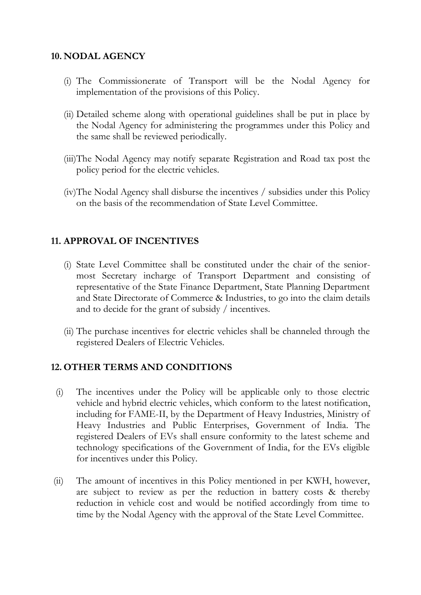## **10. NODAL AGENCY**

- (i) The Commissionerate of Transport will be the Nodal Agency for implementation of the provisions of this Policy.
- (ii) Detailed scheme along with operational guidelines shall be put in place by the Nodal Agency for administering the programmes under this Policy and the same shall be reviewed periodically.
- (iii)The Nodal Agency may notify separate Registration and Road tax post the policy period for the electric vehicles.
- (iv)The Nodal Agency shall disburse the incentives / subsidies under this Policy on the basis of the recommendation of State Level Committee.

## **11. APPROVAL OF INCENTIVES**

- (i) State Level Committee shall be constituted under the chair of the seniormost Secretary incharge of Transport Department and consisting of representative of the State Finance Department, State Planning Department and State Directorate of Commerce & Industries, to go into the claim details and to decide for the grant of subsidy / incentives.
- (ii) The purchase incentives for electric vehicles shall be channeled through the registered Dealers of Electric Vehicles.

### **12. OTHER TERMS AND CONDITIONS**

- (i) The incentives under the Policy will be applicable only to those electric vehicle and hybrid electric vehicles, which conform to the latest notification, including for FAME-II, by the Department of Heavy Industries, Ministry of Heavy Industries and Public Enterprises, Government of India. The registered Dealers of EVs shall ensure conformity to the latest scheme and technology specifications of the Government of India, for the EVs eligible for incentives under this Policy.
- (ii) The amount of incentives in this Policy mentioned in per KWH, however, are subject to review as per the reduction in battery costs & thereby reduction in vehicle cost and would be notified accordingly from time to time by the Nodal Agency with the approval of the State Level Committee.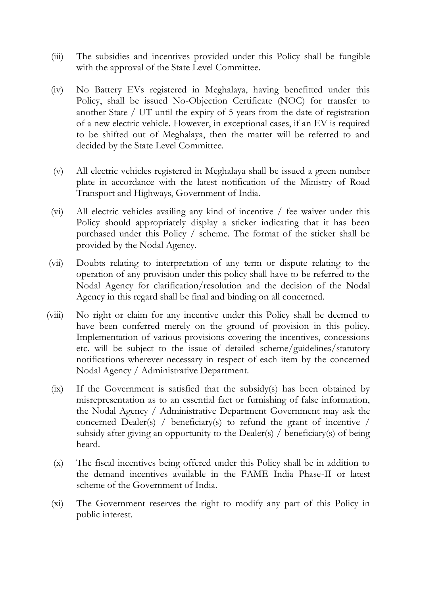- (iii) The subsidies and incentives provided under this Policy shall be fungible with the approval of the State Level Committee.
- (iv) No Battery EVs registered in Meghalaya, having benefitted under this Policy, shall be issued No-Objection Certificate (NOC) for transfer to another State / UT until the expiry of 5 years from the date of registration of a new electric vehicle. However, in exceptional cases, if an EV is required to be shifted out of Meghalaya, then the matter will be referred to and decided by the State Level Committee.
- (v) All electric vehicles registered in Meghalaya shall be issued a green number plate in accordance with the latest notification of the Ministry of Road Transport and Highways, Government of India.
- (vi) All electric vehicles availing any kind of incentive / fee waiver under this Policy should appropriately display a sticker indicating that it has been purchased under this Policy / scheme. The format of the sticker shall be provided by the Nodal Agency.
- (vii) Doubts relating to interpretation of any term or dispute relating to the operation of any provision under this policy shall have to be referred to the Nodal Agency for clarification/resolution and the decision of the Nodal Agency in this regard shall be final and binding on all concerned.
- (viii) No right or claim for any incentive under this Policy shall be deemed to have been conferred merely on the ground of provision in this policy. Implementation of various provisions covering the incentives, concessions etc. will be subject to the issue of detailed scheme/guidelines/statutory notifications wherever necessary in respect of each item by the concerned Nodal Agency / Administrative Department.
	- (ix) If the Government is satisfied that the subsidy(s) has been obtained by misrepresentation as to an essential fact or furnishing of false information, the Nodal Agency / Administrative Department Government may ask the concerned Dealer(s) / beneficiary(s) to refund the grant of incentive / subsidy after giving an opportunity to the Dealer(s) / beneficiary(s) of being heard.
	- (x) The fiscal incentives being offered under this Policy shall be in addition to the demand incentives available in the FAME India Phase-II or latest scheme of the Government of India.
	- (xi) The Government reserves the right to modify any part of this Policy in public interest.